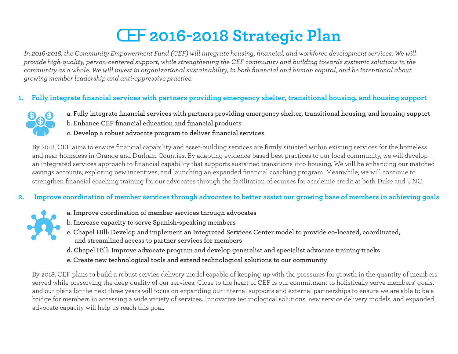# **2016-2018 Strategic Plan**

*In 2016-2018, the Community Empowerment Fund (CEF) will integrate housing, financial, and workforce development services. We will provide high-quality, person-centered support, while strengthening the CEF community and building towards systemic solutions in the community as a whole. We will invest in organizational sustainability, in both financial and human capital, and be intentional about growing member leadership and anti-oppressive practice.*

## **1. Fully integrate financial services with partners providing emergency shelter, transitional housing, and housing support**



- **a. Fully integrate financial services with partners providing emergency shelter, transitional housing, and housing support**
- **b. Enhance CEF financial education and financial products**
- **c. Develop a robust advocate program to deliver financial services**

By 2018, CEF aims to ensure financial capability and asset-building services are firmly situated within existing services for the homeless and near-homeless in Orange and Durham Counties. By adapting evidence-based best practices to our local community, we will develop an integrated services approach to financial capability that supports sustained transitions into housing. We will be enhancing our matched savings accounts, exploring new incentives, and launching an expanded financial coaching program. Meanwhile, we will continue to strengthen financial coaching training for our advocates through the facilitation of courses for academic credit at both Duke and UNC.

#### **2. Improve coordination of member services through advocates to better assist our growing base of members in achieving goals**



- **a. Improve coordination of member services through advocates**
- **b. Increase capacity to serve Spanish-speaking members**
- **c. Chapel Hill: Develop and implement an Integrated Services Center model to provide co-located, coordinated, and streamlined access to partner services for members**
- **d. Chapel Hill: Improve advocate program and develop generalist and specialist advocate training tracks**
- **e. Create new technological tools and extend technological solutions to our community**

By 2018, CEF plans to build a robust service delivery model capable of keeping up with the pressures for growth in the quantity of members served while preserving the deep quality of our services. Close to the heart of CEF is our commitment to holistically serve members' goals, and our plans for the next three years will focus on expanding our internal supports and external partnerships to ensure we are able to be a bridge for members in accessing a wide variety of services. Innovative technological solutions, new service delivery models, and expanded advocate capacity will help us reach this goal.